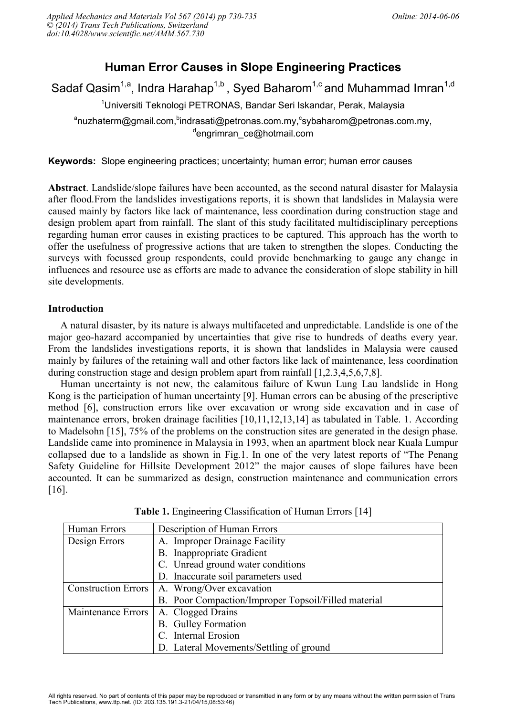# **Human Error Causes in Slope Engineering Practices**

Sadaf Qasim<sup>1,a</sup>, Indra Harahap<sup>1,b</sup>, Syed Baharom<sup>1,c</sup> and Muhammad Imran<sup>1,d</sup>

<sup>1</sup>Universiti Teknologi PETRONAS, Bandar Seri Iskandar, Perak, Malaysia

<sup>a</sup>nuzhaterm@gmail.com, <sup>b</sup>indrasati@petronas.com.my, <sup>c</sup>sybaharom@petronas.com.my, d engrimran\_ce@hotmail.com

**Keywords:** Slope engineering practices; uncertainty; human error; human error causes

**Abstract**. Landslide/slope failures have been accounted, as the second natural disaster for Malaysia after flood.From the landslides investigations reports, it is shown that landslides in Malaysia were caused mainly by factors like lack of maintenance, less coordination during construction stage and design problem apart from rainfall. The slant of this study facilitated multidisciplinary perceptions regarding human error causes in existing practices to be captured. This approach has the worth to offer the usefulness of progressive actions that are taken to strengthen the slopes. Conducting the surveys with focussed group respondents, could provide benchmarking to gauge any change in influences and resource use as efforts are made to advance the consideration of slope stability in hill site developments.

### **Introduction**

A natural disaster, by its nature is always multifaceted and unpredictable. Landslide is one of the major geo-hazard accompanied by uncertainties that give rise to hundreds of deaths every year. From the landslides investigations reports, it is shown that landslides in Malaysia were caused mainly by failures of the retaining wall and other factors like lack of maintenance, less coordination during construction stage and design problem apart from rainfall [1,2.3,4,5,6,7,8].

Human uncertainty is not new, the calamitous failure of Kwun Lung Lau landslide in Hong Kong is the participation of human uncertainty [9]. Human errors can be abusing of the prescriptive method [6], construction errors like over excavation or wrong side excavation and in case of maintenance errors, broken drainage facilities [10,11,12,13,14] as tabulated in Table. 1. According to Madelsohn [15], 75% of the problems on the construction sites are generated in the design phase. Landslide came into prominence in Malaysia in 1993, when an apartment block near Kuala Lumpur collapsed due to a landslide as shown in Fig.1. In one of the very latest reports of "The Penang Safety Guideline for Hillsite Development 2012" the major causes of slope failures have been accounted. It can be summarized as design, construction maintenance and communication errors [16].

| Human Errors               | Description of Human Errors                                                     |  |
|----------------------------|---------------------------------------------------------------------------------|--|
| Design Errors              | A. Improper Drainage Facility                                                   |  |
|                            | <b>B.</b> Inappropriate Gradient                                                |  |
|                            | C. Unread ground water conditions                                               |  |
|                            | D. Inaccurate soil parameters used                                              |  |
| <b>Construction Errors</b> | A. Wrong/Over excavation<br>B. Poor Compaction/Improper Topsoil/Filled material |  |
|                            |                                                                                 |  |
| Maintenance Errors         | A. Clogged Drains                                                               |  |
|                            | <b>B.</b> Gulley Formation                                                      |  |
|                            | C. Internal Erosion                                                             |  |
|                            | D. Lateral Movements/Settling of ground                                         |  |

**Table 1.** Engineering Classification of Human Errors [14]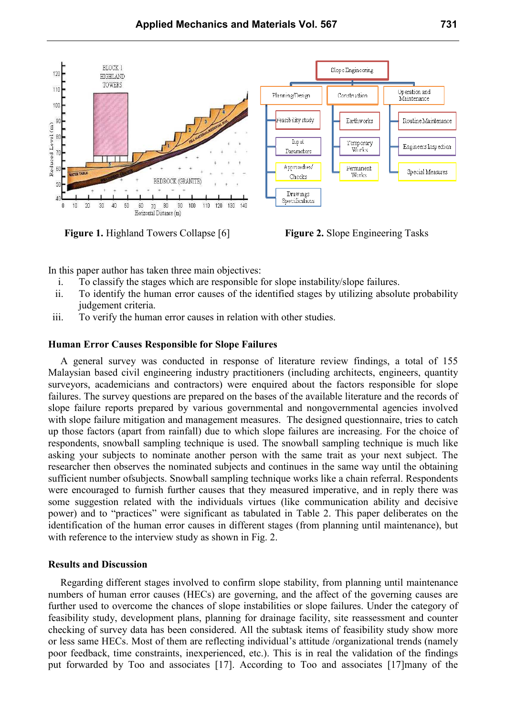

**Figure 1.** Highland Towers Collapse [6] **Figure 2.** Slope Engineering Tasks

In this paper author has taken three main objectives:

- i. To classify the stages which are responsible for slope instability/slope failures.
- ii. To identify the human error causes of the identified stages by utilizing absolute probability judgement criteria.
- iii. To verify the human error causes in relation with other studies.

#### **Human Error Causes Responsible for Slope Failures**

A general survey was conducted in response of literature review findings, a total of 155 Malaysian based civil engineering industry practitioners (including architects, engineers, quantity surveyors, academicians and contractors) were enquired about the factors responsible for slope failures. The survey questions are prepared on the bases of the available literature and the records of slope failure reports prepared by various governmental and nongovernmental agencies involved with slope failure mitigation and management measures. The designed questionnaire, tries to catch up those factors (apart from rainfall) due to which slope failures are increasing. For the choice of respondents, snowball sampling technique is used. The snowball sampling technique is much like asking your subjects to nominate another person with the same trait as your next subject. The researcher then observes the nominated subjects and continues in the same way until the obtaining sufficient number ofsubjects. Snowball sampling technique works like a chain referral. Respondents were encouraged to furnish further causes that they measured imperative, and in reply there was some suggestion related with the individuals virtues (like communication ability and decisive power) and to "practices" were significant as tabulated in Table 2. This paper deliberates on the identification of the human error causes in different stages (from planning until maintenance), but with reference to the interview study as shown in Fig. 2.

#### **Results and Discussion**

Regarding different stages involved to confirm slope stability, from planning until maintenance numbers of human error causes (HECs) are governing, and the affect of the governing causes are further used to overcome the chances of slope instabilities or slope failures. Under the category of feasibility study, development plans, planning for drainage facility, site reassessment and counter checking of survey data has been considered. All the subtask items of feasibility study show more or less same HECs. Most of them are reflecting individual's attitude /organizational trends (namely poor feedback, time constraints, inexperienced, etc.). This is in real the validation of the findings put forwarded by Too and associates [17]. According to Too and associates [17]many of the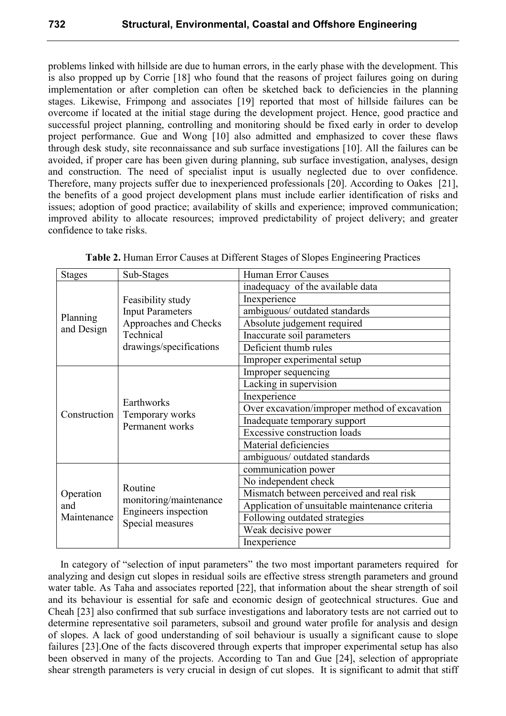problems linked with hillside are due to human errors, in the early phase with the development. This is also propped up by Corrie [18] who found that the reasons of project failures going on during implementation or after completion can often be sketched back to deficiencies in the planning stages. Likewise, Frimpong and associates [19] reported that most of hillside failures can be overcome if located at the initial stage during the development project. Hence, good practice and successful project planning, controlling and monitoring should be fixed early in order to develop project performance. Gue and Wong [10] also admitted and emphasized to cover these flaws through desk study, site reconnaissance and sub surface investigations [10]. All the failures can be avoided, if proper care has been given during planning, sub surface investigation, analyses, design and construction. The need of specialist input is usually neglected due to over confidence. Therefore, many projects suffer due to inexperienced professionals [20]. According to Oakes [21], the benefits of a good project development plans must include earlier identification of risks and issues; adoption of good practice; availability of skills and experience; improved communication; improved ability to allocate resources; improved predictability of project delivery; and greater confidence to take risks.

| <b>Stages</b>                   | Sub-Stages                                                                    | Human Error Causes                             |
|---------------------------------|-------------------------------------------------------------------------------|------------------------------------------------|
| Planning<br>and Design          |                                                                               | inadequacy of the available data               |
|                                 | Feasibility study                                                             | Inexperience                                   |
|                                 | <b>Input Parameters</b>                                                       | ambiguous/ outdated standards                  |
|                                 | Approaches and Checks                                                         | Absolute judgement required                    |
|                                 | Technical<br>drawings/specifications                                          | Inaccurate soil parameters                     |
|                                 |                                                                               | Deficient thumb rules                          |
|                                 |                                                                               | Improper experimental setup                    |
| Construction                    | Earthworks<br>Temporary works<br>Permanent works                              | Improper sequencing                            |
|                                 |                                                                               | Lacking in supervision                         |
|                                 |                                                                               | Inexperience                                   |
|                                 |                                                                               | Over excavation/improper method of excavation  |
|                                 |                                                                               | Inadequate temporary support                   |
|                                 |                                                                               | <b>Excessive construction loads</b>            |
|                                 |                                                                               | Material deficiencies                          |
|                                 |                                                                               | ambiguous/ outdated standards                  |
| Operation<br>and<br>Maintenance | Routine<br>monitoring/maintenance<br>Engineers inspection<br>Special measures | communication power                            |
|                                 |                                                                               | No independent check                           |
|                                 |                                                                               | Mismatch between perceived and real risk       |
|                                 |                                                                               | Application of unsuitable maintenance criteria |
|                                 |                                                                               | Following outdated strategies                  |
|                                 |                                                                               | Weak decisive power                            |
|                                 |                                                                               | Inexperience                                   |

**Table 2.** Human Error Causes at Different Stages of Slopes Engineering Practices

In category of "selection of input parameters" the two most important parameters required for analyzing and design cut slopes in residual soils are effective stress strength parameters and ground water table. As Taha and associates reported [22], that information about the shear strength of soil and its behaviour is essential for safe and economic design of geotechnical structures. Gue and Cheah [23] also confirmed that sub surface investigations and laboratory tests are not carried out to determine representative soil parameters, subsoil and ground water profile for analysis and design of slopes. A lack of good understanding of soil behaviour is usually a significant cause to slope failures [23].One of the facts discovered through experts that improper experimental setup has also been observed in many of the projects. According to Tan and Gue [24], selection of appropriate shear strength parameters is very crucial in design of cut slopes. It is significant to admit that stiff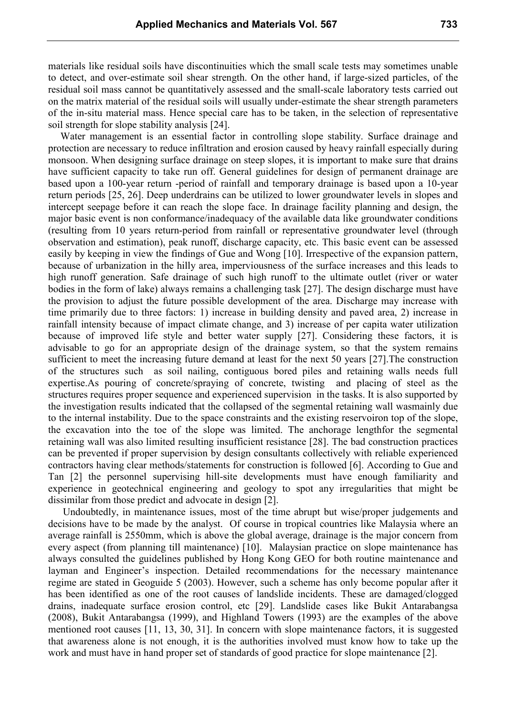materials like residual soils have discontinuities which the small scale tests may sometimes unable to detect, and over-estimate soil shear strength. On the other hand, if large-sized particles, of the residual soil mass cannot be quantitatively assessed and the small-scale laboratory tests carried out on the matrix material of the residual soils will usually under-estimate the shear strength parameters of the in-situ material mass. Hence special care has to be taken, in the selection of representative soil strength for slope stability analysis [24].

Water management is an essential factor in controlling slope stability. Surface drainage and protection are necessary to reduce infiltration and erosion caused by heavy rainfall especially during monsoon. When designing surface drainage on steep slopes, it is important to make sure that drains have sufficient capacity to take run off. General guidelines for design of permanent drainage are based upon a 100-year return -period of rainfall and temporary drainage is based upon a 10-year return periods [25, 26]. Deep underdrains can be utilized to lower groundwater levels in slopes and intercept seepage before it can reach the slope face. In drainage facility planning and design, the major basic event is non conformance/inadequacy of the available data like groundwater conditions (resulting from 10 years return-period from rainfall or representative groundwater level (through observation and estimation), peak runoff, discharge capacity, etc. This basic event can be assessed easily by keeping in view the findings of Gue and Wong [10]. Irrespective of the expansion pattern, because of urbanization in the hilly area, imperviousness of the surface increases and this leads to high runoff generation. Safe drainage of such high runoff to the ultimate outlet (river or water bodies in the form of lake) always remains a challenging task [27]. The design discharge must have the provision to adjust the future possible development of the area. Discharge may increase with time primarily due to three factors: 1) increase in building density and paved area, 2) increase in rainfall intensity because of impact climate change, and 3) increase of per capita water utilization because of improved life style and better water supply [27]. Considering these factors, it is advisable to go for an appropriate design of the drainage system, so that the system remains sufficient to meet the increasing future demand at least for the next 50 years [27].The construction of the structures such as soil nailing, contiguous bored piles and retaining walls needs full expertise.As pouring of concrete/spraying of concrete, twisting and placing of steel as the structures requires proper sequence and experienced supervision in the tasks. It is also supported by the investigation results indicated that the collapsed of the segmental retaining wall wasmainly due to the internal instability. Due to the space constraints and the existing reservoiron top of the slope, the excavation into the toe of the slope was limited. The anchorage lengthfor the segmental retaining wall was also limited resulting insufficient resistance [28]. The bad construction practices can be prevented if proper supervision by design consultants collectively with reliable experienced contractors having clear methods/statements for construction is followed [6]. According to Gue and Tan [2] the personnel supervising hill-site developments must have enough familiarity and experience in geotechnical engineering and geology to spot any irregularities that might be dissimilar from those predict and advocate in design [2].

 Undoubtedly, in maintenance issues, most of the time abrupt but wise/proper judgements and decisions have to be made by the analyst. Of course in tropical countries like Malaysia where an average rainfall is 2550mm, which is above the global average, drainage is the major concern from every aspect (from planning till maintenance) [10]. Malaysian practice on slope maintenance has always consulted the guidelines published by Hong Kong GEO for both routine maintenance and layman and Engineer's inspection. Detailed recommendations for the necessary maintenance regime are stated in Geoguide 5 (2003). However, such a scheme has only become popular after it has been identified as one of the root causes of landslide incidents. These are damaged/clogged drains, inadequate surface erosion control, etc [29]. Landslide cases like Bukit Antarabangsa (2008), Bukit Antarabangsa (1999), and Highland Towers (1993) are the examples of the above mentioned root causes [11, 13, 30, 31]. In concern with slope maintenance factors, it is suggested that awareness alone is not enough, it is the authorities involved must know how to take up the work and must have in hand proper set of standards of good practice for slope maintenance [2].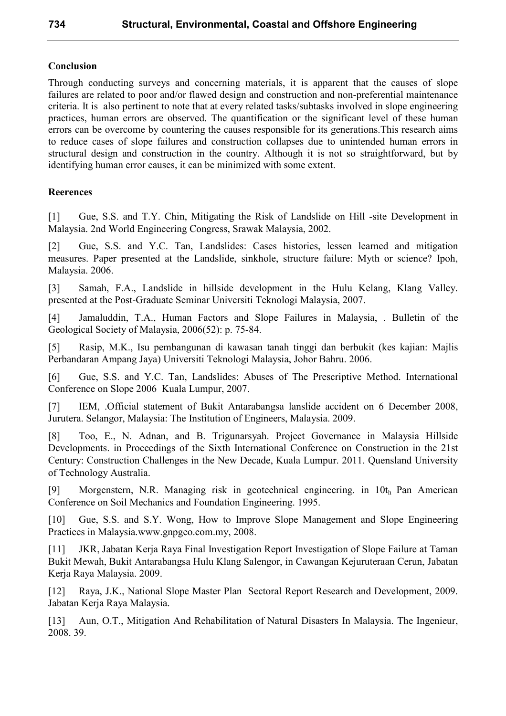# **Conclusion**

Through conducting surveys and concerning materials, it is apparent that the causes of slope failures are related to poor and/or flawed design and construction and non-preferential maintenance criteria. It is also pertinent to note that at every related tasks/subtasks involved in slope engineering practices, human errors are observed. The quantification or the significant level of these human errors can be overcome by countering the causes responsible for its generations.This research aims to reduce cases of slope failures and construction collapses due to unintended human errors in structural design and construction in the country. Although it is not so straightforward, but by identifying human error causes, it can be minimized with some extent.

# **Reerences**

[1] Gue, S.S. and T.Y. Chin, Mitigating the Risk of Landslide on Hill -site Development in Malaysia. 2nd World Engineering Congress, Srawak Malaysia, 2002.

[2] Gue, S.S. and Y.C. Tan, Landslides: Cases histories, lessen learned and mitigation measures. Paper presented at the Landslide, sinkhole, structure failure: Myth or science? Ipoh, Malaysia. 2006.

[3] Samah, F.A., Landslide in hillside development in the Hulu Kelang, Klang Valley. presented at the Post-Graduate Seminar Universiti Teknologi Malaysia, 2007.

[4] Jamaluddin, T.A., Human Factors and Slope Failures in Malaysia, . Bulletin of the Geological Society of Malaysia, 2006(52): p. 75-84.

[5] Rasip, M.K., Isu pembangunan di kawasan tanah tinggi dan berbukit (kes kajian: Majlis Perbandaran Ampang Jaya) Universiti Teknologi Malaysia, Johor Bahru. 2006.

[6] Gue, S.S. and Y.C. Tan, Landslides: Abuses of The Prescriptive Method. International Conference on Slope 2006 Kuala Lumpur, 2007.

[7] IEM, .Official statement of Bukit Antarabangsa lanslide accident on 6 December 2008, Jurutera. Selangor, Malaysia: The Institution of Engineers, Malaysia. 2009.

[8] Too, E., N. Adnan, and B. Trigunarsyah. Project Governance in Malaysia Hillside Developments. in Proceedings of the Sixth International Conference on Construction in the 21st Century: Construction Challenges in the New Decade, Kuala Lumpur. 2011. Quensland University of Technology Australia.

[9] Morgenstern, N.R. Managing risk in geotechnical engineering. in 10th Pan American Conference on Soil Mechanics and Foundation Engineering. 1995.

[10] Gue, S.S. and S.Y. Wong, How to Improve Slope Management and Slope Engineering Practices in Malaysia.www.gnpgeo.com.my, 2008.

[11] JKR, Jabatan Kerja Raya Final Investigation Report Investigation of Slope Failure at Taman Bukit Mewah, Bukit Antarabangsa Hulu Klang Salengor, in Cawangan Kejuruteraan Cerun, Jabatan Kerja Raya Malaysia. 2009.

[12] Raya, J.K., National Slope Master Plan Sectoral Report Research and Development, 2009. Jabatan Kerja Raya Malaysia.

[13] Aun, O.T., Mitigation And Rehabilitation of Natural Disasters In Malaysia. The Ingenieur, 2008. 39.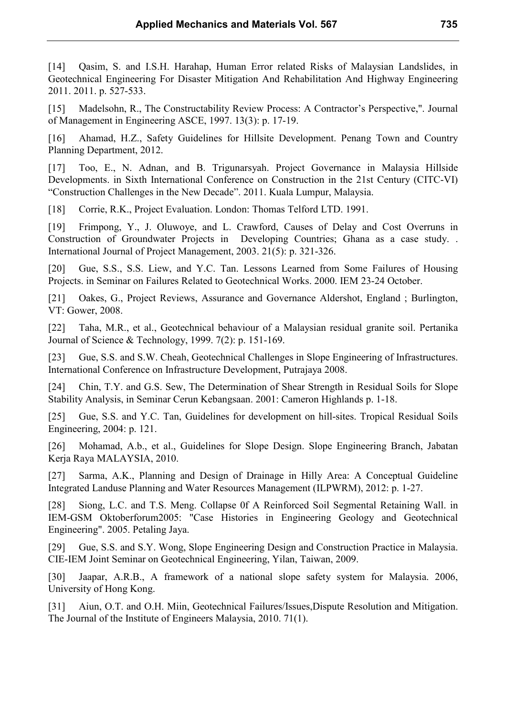[14] Qasim, S. and I.S.H. Harahap, Human Error related Risks of Malaysian Landslides, in Geotechnical Engineering For Disaster Mitigation And Rehabilitation And Highway Engineering 2011. 2011. p. 527-533.

[15] Madelsohn, R., The Constructability Review Process: A Contractor's Perspective,". Journal of Management in Engineering ASCE, 1997. 13(3): p. 17-19.

[16] Ahamad, H.Z., Safety Guidelines for Hillsite Development. Penang Town and Country Planning Department, 2012.

[17] Too, E., N. Adnan, and B. Trigunarsyah. Project Governance in Malaysia Hillside Developments. in Sixth International Conference on Construction in the 21st Century (CITC-VI) "Construction Challenges in the New Decade". 2011. Kuala Lumpur, Malaysia.

[18] Corrie, R.K., Project Evaluation. London: Thomas Telford LTD. 1991.

[19] Frimpong, Y., J. Oluwoye, and L. Crawford, Causes of Delay and Cost Overruns in Construction of Groundwater Projects in Developing Countries; Ghana as a case study. . International Journal of Project Management, 2003. 21(5): p. 321-326.

[20] Gue, S.S., S.S. Liew, and Y.C. Tan. Lessons Learned from Some Failures of Housing Projects. in Seminar on Failures Related to Geotechnical Works. 2000. IEM 23-24 October.

[21] Oakes, G., Project Reviews, Assurance and Governance Aldershot, England ; Burlington, VT: Gower, 2008.

[22] Taha, M.R., et al., Geotechnical behaviour of a Malaysian residual granite soil. Pertanika Journal of Science & Technology, 1999. 7(2): p. 151-169.

[23] Gue, S.S. and S.W. Cheah, Geotechnical Challenges in Slope Engineering of Infrastructures. International Conference on Infrastructure Development, Putrajaya 2008.

[24] Chin, T.Y. and G.S. Sew, The Determination of Shear Strength in Residual Soils for Slope Stability Analysis, in Seminar Cerun Kebangsaan. 2001: Cameron Highlands p. 1-18.

[25] Gue, S.S. and Y.C. Tan, Guidelines for development on hill-sites. Tropical Residual Soils Engineering, 2004: p. 121.

[26] Mohamad, A.b., et al., Guidelines for Slope Design. Slope Engineering Branch, Jabatan Kerja Raya MALAYSIA, 2010.

[27] Sarma, A.K., Planning and Design of Drainage in Hilly Area: A Conceptual Guideline Integrated Landuse Planning and Water Resources Management (ILPWRM), 2012: p. 1-27.

[28] Siong, L.C. and T.S. Meng. Collapse 0f A Reinforced Soil Segmental Retaining Wall. in IEM-GSM Oktoberforum2005: "Case Histories in Engineering Geology and Geotechnical Engineering". 2005. Petaling Jaya.

[29] Gue, S.S. and S.Y. Wong, Slope Engineering Design and Construction Practice in Malaysia. CIE-IEM Joint Seminar on Geotechnical Engineering, Yilan, Taiwan, 2009.

[30] Jaapar, A.R.B., A framework of a national slope safety system for Malaysia. 2006, University of Hong Kong.

[31] Aiun, O.T. and O.H. Miin, Geotechnical Failures/Issues,Dispute Resolution and Mitigation. The Journal of the Institute of Engineers Malaysia, 2010. 71(1).